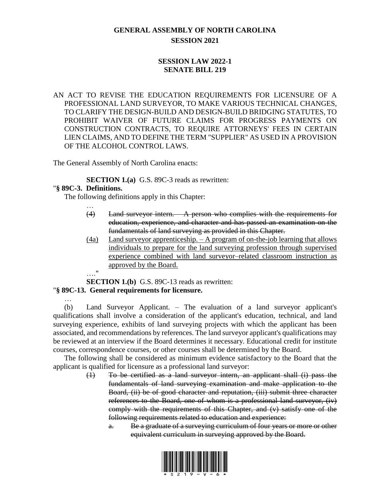## **GENERAL ASSEMBLY OF NORTH CAROLINA SESSION 2021**

## **SESSION LAW 2022-1 SENATE BILL 219**

AN ACT TO REVISE THE EDUCATION REQUIREMENTS FOR LICENSURE OF A PROFESSIONAL LAND SURVEYOR, TO MAKE VARIOUS TECHNICAL CHANGES, TO CLARIFY THE DESIGN-BUILD AND DESIGN-BUILD BRIDGING STATUTES, TO PROHIBIT WAIVER OF FUTURE CLAIMS FOR PROGRESS PAYMENTS ON CONSTRUCTION CONTRACTS, TO REQUIRE ATTORNEYS' FEES IN CERTAIN LIEN CLAIMS, AND TO DEFINE THE TERM "SUPPLIER" AS USED IN A PROVISION OF THE ALCOHOL CONTROL LAWS.

The General Assembly of North Carolina enacts:

**SECTION 1.(a)** G.S. 89C-3 reads as rewritten:

### "**§ 89C-3. Definitions.**

…

The following definitions apply in this Chapter:

- (4) Land surveyor intern. A person who complies with the requirements for education, experience, and character and has passed an examination on the fundamentals of land surveying as provided in this Chapter.
- (4a) Land surveyor apprenticeship. A program of on-the-job learning that allows individuals to prepare for the land surveying profession through supervised experience combined with land surveyor–related classroom instruction as approved by the Board.

…."

…

**SECTION 1.(b)** G.S. 89C-13 reads as rewritten:

# "**§ 89C-13. General requirements for licensure.**

(b) Land Surveyor Applicant. – The evaluation of a land surveyor applicant's qualifications shall involve a consideration of the applicant's education, technical, and land surveying experience, exhibits of land surveying projects with which the applicant has been associated, and recommendations by references. The land surveyor applicant's qualifications may be reviewed at an interview if the Board determines it necessary. Educational credit for institute courses, correspondence courses, or other courses shall be determined by the Board.

The following shall be considered as minimum evidence satisfactory to the Board that the applicant is qualified for licensure as a professional land surveyor:

- (1) To be certified as a land surveyor intern, an applicant shall (i) pass the fundamentals of land surveying examination and make application to the Board, (ii) be of good character and reputation, (iii) submit three character references to the Board, one of whom is a professional land surveyor, (iv) comply with the requirements of this Chapter, and (v) satisfy one of the following requirements related to education and experience:
	- a. Be a graduate of a surveying curriculum of four years or more or other equivalent curriculum in surveying approved by the Board.

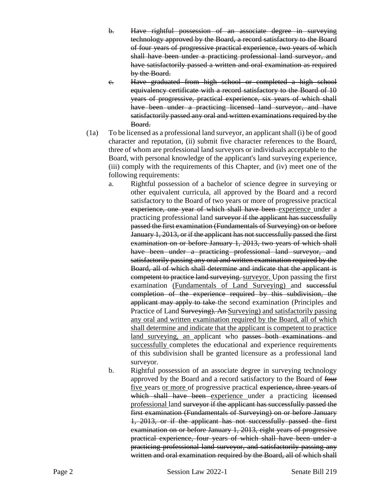- b. Have rightful possession of an associate degree in surveying technology approved by the Board, a record satisfactory to the Board of four years of progressive practical experience, two years of which shall have been under a practicing professional land surveyor, and have satisfactorily passed a written and oral examination as required by the Board.
- c. Have graduated from high school or completed a high school equivalency certificate with a record satisfactory to the Board of 10 years of progressive, practical experience, six years of which shall have been under a practicing licensed land surveyor, and have satisfactorily passed any oral and written examinations required by the Board.
- (1a) To be licensed as a professional land surveyor, an applicant shall (i) be of good character and reputation, (ii) submit five character references to the Board, three of whom are professional land surveyors or individuals acceptable to the Board, with personal knowledge of the applicant's land surveying experience, (iii) comply with the requirements of this Chapter, and (iv) meet one of the following requirements:
	- a. Rightful possession of a bachelor of science degree in surveying or other equivalent curricula, all approved by the Board and a record satisfactory to the Board of two years or more of progressive practical experience, one year of which shall have been experience under a practicing professional land surveyor if the applicant has successfully passed the first examination (Fundamentals of Surveying) on or before January 1, 2013, or if the applicant has not successfully passed the first examination on or before January 1, 2013, two years of which shall have been under a practicing professional land surveyor, and satisfactorily passing any oral and written examination required by the Board, all of which shall determine and indicate that the applicant is competent to practice land surveying. surveyor. Upon passing the first examination (Fundamentals of Land Surveying) and successful completion of the experience required by this subdivision, the applicant may apply to take the second examination (Principles and Practice of Land Surveying). An Surveying) and satisfactorily passing any oral and written examination required by the Board, all of which shall determine and indicate that the applicant is competent to practice land surveying, an applicant who passes both examinations and successfully completes the educational and experience requirements of this subdivision shall be granted licensure as a professional land surveyor.
	- b. Rightful possession of an associate degree in surveying technology approved by the Board and a record satisfactory to the Board of four five years or more of progressive practical experience, three years of which shall have been experience under a practicing licensed professional land surveyor if the applicant has successfully passed the first examination (Fundamentals of Surveying) on or before January 1, 2013, or if the applicant has not successfully passed the first examination on or before January 1, 2013, eight years of progressive practical experience, four years of which shall have been under a practicing professional land surveyor, and satisfactorily passing any written and oral examination required by the Board, all of which shall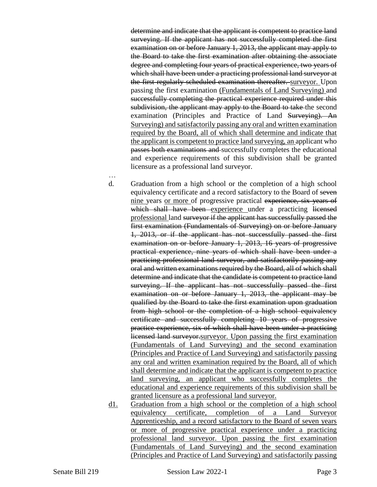determine and indicate that the applicant is competent to practice land surveying. If the applicant has not successfully completed the first examination on or before January 1, 2013, the applicant may apply to the Board to take the first examination after obtaining the associate degree and completing four years of practical experience, two years of which shall have been under a practicing professional land surveyor at the first regularly scheduled examination thereafter. surveyor. Upon passing the first examination (Fundamentals of Land Surveying) and successfully completing the practical experience required under this subdivision, the applicant may apply to the Board to take the second examination (Principles and Practice of Land Surveying). An Surveying) and satisfactorily passing any oral and written examination required by the Board, all of which shall determine and indicate that the applicant is competent to practice land surveying, an applicant who passes both examinations and successfully completes the educational and experience requirements of this subdivision shall be granted licensure as a professional land surveyor.

d. Graduation from a high school or the completion of a high school equivalency certificate and a record satisfactory to the Board of seven nine years or more of progressive practical experience, six years of which shall have been experience under a practicing licensed professional land surveyor if the applicant has successfully passed the first examination (Fundamentals of Surveying) on or before January 1, 2013, or if the applicant has not successfully passed the first examination on or before January 1, 2013, 16 years of progressive practical experience, nine years of which shall have been under a practicing professional land surveyor, and satisfactorily passing any oral and written examinations required by the Board, all of which shall determine and indicate that the candidate is competent to practice land surveying. If the applicant has not successfully passed the first examination on or before January 1, 2013, the applicant may be qualified by the Board to take the first examination upon graduation from high school or the completion of a high school equivalency certificate and successfully completing 10 years of progressive practice experience, six of which shall have been under a practicing licensed land surveyor surveyor. Upon passing the first examination (Fundamentals of Land Surveying) and the second examination (Principles and Practice of Land Surveying) and satisfactorily passing any oral and written examination required by the Board, all of which shall determine and indicate that the applicant is competent to practice land surveying, an applicant who successfully completes the educational and experience requirements of this subdivision shall be granted licensure as a professional land surveyor.

d1. Graduation from a high school or the completion of a high school equivalency certificate, completion of a Land Surveyor Apprenticeship, and a record satisfactory to the Board of seven years or more of progressive practical experience under a practicing professional land surveyor. Upon passing the first examination (Fundamentals of Land Surveying) and the second examination (Principles and Practice of Land Surveying) and satisfactorily passing

…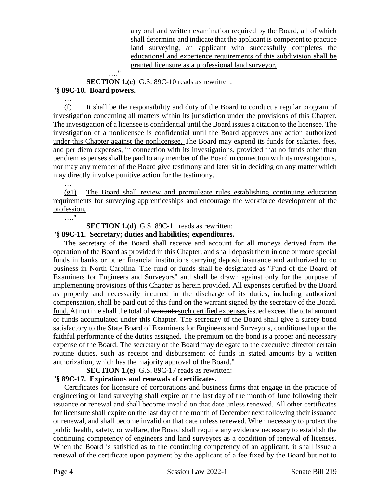any oral and written examination required by the Board, all of which shall determine and indicate that the applicant is competent to practice land surveying, an applicant who successfully completes the educational and experience requirements of this subdivision shall be granted licensure as a professional land surveyor.

…."

**SECTION 1.(c)** G.S. 89C-10 reads as rewritten:

## "**§ 89C-10. Board powers.**

(f) It shall be the responsibility and duty of the Board to conduct a regular program of investigation concerning all matters within its jurisdiction under the provisions of this Chapter. The investigation of a licensee is confidential until the Board issues a citation to the licensee. The investigation of a nonlicensee is confidential until the Board approves any action authorized under this Chapter against the nonlicensee. The Board may expend its funds for salaries, fees, and per diem expenses, in connection with its investigations, provided that no funds other than per diem expenses shall be paid to any member of the Board in connection with its investigations, nor may any member of the Board give testimony and later sit in deciding on any matter which may directly involve punitive action for the testimony.

…

…

(g1) The Board shall review and promulgate rules establishing continuing education requirements for surveying apprenticeships and encourage the workforce development of the profession.

…."

**SECTION 1.(d)** G.S. 89C-11 reads as rewritten:

#### "**§ 89C-11. Secretary; duties and liabilities; expenditures.**

The secretary of the Board shall receive and account for all moneys derived from the operation of the Board as provided in this Chapter, and shall deposit them in one or more special funds in banks or other financial institutions carrying deposit insurance and authorized to do business in North Carolina. The fund or funds shall be designated as "Fund of the Board of Examiners for Engineers and Surveyors" and shall be drawn against only for the purpose of implementing provisions of this Chapter as herein provided. All expenses certified by the Board as properly and necessarily incurred in the discharge of its duties, including authorized compensation, shall be paid out of this fund on the warrant signed by the secretary of the Board. fund. At no time shall the total of warrants such certified expenses issued exceed the total amount of funds accumulated under this Chapter. The secretary of the Board shall give a surety bond satisfactory to the State Board of Examiners for Engineers and Surveyors, conditioned upon the faithful performance of the duties assigned. The premium on the bond is a proper and necessary expense of the Board. The secretary of the Board may delegate to the executive director certain routine duties, such as receipt and disbursement of funds in stated amounts by a written authorization, which has the majority approval of the Board."

**SECTION 1.(e)** G.S. 89C-17 reads as rewritten:

## "**§ 89C-17. Expirations and renewals of certificates.**

Certificates for licensure of corporations and business firms that engage in the practice of engineering or land surveying shall expire on the last day of the month of June following their issuance or renewal and shall become invalid on that date unless renewed. All other certificates for licensure shall expire on the last day of the month of December next following their issuance or renewal, and shall become invalid on that date unless renewed. When necessary to protect the public health, safety, or welfare, the Board shall require any evidence necessary to establish the continuing competency of engineers and land surveyors as a condition of renewal of licenses. When the Board is satisfied as to the continuing competency of an applicant, it shall issue a renewal of the certificate upon payment by the applicant of a fee fixed by the Board but not to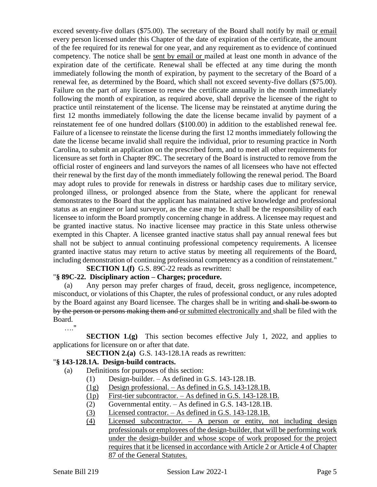exceed seventy-five dollars (\$75.00). The secretary of the Board shall notify by mail or email every person licensed under this Chapter of the date of expiration of the certificate, the amount of the fee required for its renewal for one year, and any requirement as to evidence of continued competency. The notice shall be sent by email or mailed at least one month in advance of the expiration date of the certificate. Renewal shall be effected at any time during the month immediately following the month of expiration, by payment to the secretary of the Board of a renewal fee, as determined by the Board, which shall not exceed seventy-five dollars (\$75.00). Failure on the part of any licensee to renew the certificate annually in the month immediately following the month of expiration, as required above, shall deprive the licensee of the right to practice until reinstatement of the license. The license may be reinstated at anytime during the first 12 months immediately following the date the license became invalid by payment of a reinstatement fee of one hundred dollars (\$100.00) in addition to the established renewal fee. Failure of a licensee to reinstate the license during the first 12 months immediately following the date the license became invalid shall require the individual, prior to resuming practice in North Carolina, to submit an application on the prescribed form, and to meet all other requirements for licensure as set forth in Chapter 89C. The secretary of the Board is instructed to remove from the official roster of engineers and land surveyors the names of all licensees who have not effected their renewal by the first day of the month immediately following the renewal period. The Board may adopt rules to provide for renewals in distress or hardship cases due to military service, prolonged illness, or prolonged absence from the State, where the applicant for renewal demonstrates to the Board that the applicant has maintained active knowledge and professional status as an engineer or land surveyor, as the case may be. It shall be the responsibility of each licensee to inform the Board promptly concerning change in address. A licensee may request and be granted inactive status. No inactive licensee may practice in this State unless otherwise exempted in this Chapter. A licensee granted inactive status shall pay annual renewal fees but shall not be subject to annual continuing professional competency requirements. A licensee granted inactive status may return to active status by meeting all requirements of the Board, including demonstration of continuing professional competency as a condition of reinstatement."

### **SECTION 1.(f)** G.S. 89C-22 reads as rewritten:

#### "**§ 89C-22. Disciplinary action – Charges; procedure.**

(a) Any person may prefer charges of fraud, deceit, gross negligence, incompetence, misconduct, or violations of this Chapter, the rules of professional conduct, or any rules adopted by the Board against any Board licensee. The charges shall be in writing and shall be sworn to by the person or persons making them and or submitted electronically and shall be filed with the Board.

…."

**SECTION 1.(g)** This section becomes effective July 1, 2022, and applies to applications for licensure on or after that date.

**SECTION 2.(a)** G.S. 143-128.1A reads as rewritten:

## "**§ 143-128.1A. Design-build contracts.**

- (a) Definitions for purposes of this section:
	- (1) Design-builder. As defined in G.S. 143-128.1B.
	- (1g) Design professional. As defined in G.S. 143-128.1B.
	- (1p) First-tier subcontractor. As defined in G.S. 143-128.1B.
	- (2) Governmental entity. As defined in G.S. 143-128.1B.
	- (3) Licensed contractor. As defined in G.S. 143-128.1B.
	- (4) Licensed subcontractor. A person or entity, not including design professionals or employees of the design-builder, that will be performing work under the design-builder and whose scope of work proposed for the project requires that it be licensed in accordance with Article 2 or Article 4 of Chapter 87 of the General Statutes.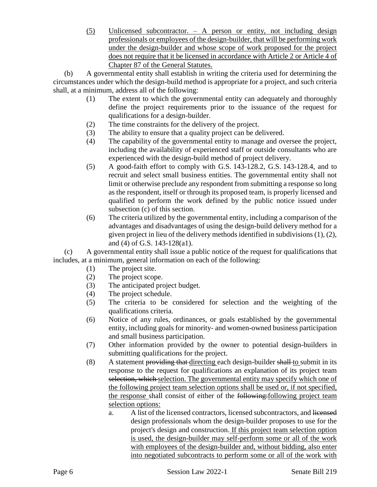(5) Unlicensed subcontractor. – A person or entity, not including design professionals or employees of the design-builder, that will be performing work under the design-builder and whose scope of work proposed for the project does not require that it be licensed in accordance with Article 2 or Article 4 of Chapter 87 of the General Statutes.

(b) A governmental entity shall establish in writing the criteria used for determining the circumstances under which the design-build method is appropriate for a project, and such criteria shall, at a minimum, address all of the following:

- (1) The extent to which the governmental entity can adequately and thoroughly define the project requirements prior to the issuance of the request for qualifications for a design-builder.
- (2) The time constraints for the delivery of the project.
- (3) The ability to ensure that a quality project can be delivered.
- (4) The capability of the governmental entity to manage and oversee the project, including the availability of experienced staff or outside consultants who are experienced with the design-build method of project delivery.
- (5) A good-faith effort to comply with G.S. 143-128.2, G.S. 143-128.4, and to recruit and select small business entities. The governmental entity shall not limit or otherwise preclude any respondent from submitting a response so long as the respondent, itself or through its proposed team, is properly licensed and qualified to perform the work defined by the public notice issued under subsection (c) of this section.
- (6) The criteria utilized by the governmental entity, including a comparison of the advantages and disadvantages of using the design-build delivery method for a given project in lieu of the delivery methods identified in subdivisions (1), (2), and (4) of G.S. 143-128(a1).

(c) A governmental entity shall issue a public notice of the request for qualifications that includes, at a minimum, general information on each of the following:

- (1) The project site.
- (2) The project scope.
- (3) The anticipated project budget.
- (4) The project schedule.
- (5) The criteria to be considered for selection and the weighting of the qualifications criteria.
- (6) Notice of any rules, ordinances, or goals established by the governmental entity, including goals for minority- and women-owned business participation and small business participation.
- (7) Other information provided by the owner to potential design-builders in submitting qualifications for the project.
- (8) A statement providing that directing each design-builder shall to submit in its response to the request for qualifications an explanation of its project team selection, which selection. The governmental entity may specify which one of the following project team selection options shall be used or, if not specified, the response shall consist of either of the following: following project team selection options:
	- a. A list of the licensed contractors, licensed subcontractors, and licensed design professionals whom the design-builder proposes to use for the project's design and construction. If this project team selection option is used, the design-builder may self-perform some or all of the work with employees of the design-builder and, without bidding, also enter into negotiated subcontracts to perform some or all of the work with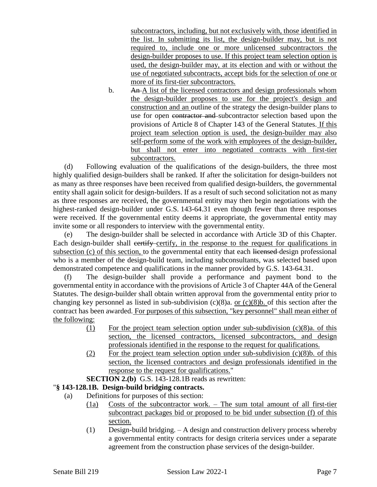subcontractors, including, but not exclusively with, those identified in the list. In submitting its list, the design-builder may, but is not required to, include one or more unlicensed subcontractors the design-builder proposes to use. If this project team selection option is used, the design-builder may, at its election and with or without the use of negotiated subcontracts, accept bids for the selection of one or more of its first-tier subcontractors.

b. An A list of the licensed contractors and design professionals whom the design-builder proposes to use for the project's design and construction and an outline of the strategy the design-builder plans to use for open contractor and subcontractor selection based upon the provisions of Article 8 of Chapter 143 of the General Statutes. If this project team selection option is used, the design-builder may also self-perform some of the work with employees of the design-builder, but shall not enter into negotiated contracts with first-tier subcontractors.

(d) Following evaluation of the qualifications of the design-builders, the three most highly qualified design-builders shall be ranked. If after the solicitation for design-builders not as many as three responses have been received from qualified design-builders, the governmental entity shall again solicit for design-builders. If as a result of such second solicitation not as many as three responses are received, the governmental entity may then begin negotiations with the highest-ranked design-builder under G.S. 143-64.31 even though fewer than three responses were received. If the governmental entity deems it appropriate, the governmental entity may invite some or all responders to interview with the governmental entity.

(e) The design-builder shall be selected in accordance with Article 3D of this Chapter. Each design-builder shall certify-certify, in the response to the request for qualifications in subsection (c) of this section, to the governmental entity that each licensed-design professional who is a member of the design-build team, including subconsultants, was selected based upon demonstrated competence and qualifications in the manner provided by G.S. 143-64.31.

(f) The design-builder shall provide a performance and payment bond to the governmental entity in accordance with the provisions of Article 3 of Chapter 44A of the General Statutes. The design-builder shall obtain written approval from the governmental entity prior to changing key personnel as listed in sub-subdivision  $(c)(8)a$ . or  $(c)(8)b$ . of this section after the contract has been awarded. For purposes of this subsection, "key personnel" shall mean either of the following:

- (1) For the project team selection option under sub-subdivision (c)(8)a. of this section, the licensed contractors, licensed subcontractors, and design professionals identified in the response to the request for qualifications.
- (2) For the project team selection option under sub-subdivision  $(c)(8)$ b. of this section, the licensed contractors and design professionals identified in the response to the request for qualifications."
- **SECTION 2.(b)** G.S. 143-128.1B reads as rewritten:

# "**§ 143-128.1B. Design-build bridging contracts.**

- (a) Definitions for purposes of this section:
	- (1a) Costs of the subcontractor work. The sum total amount of all first-tier subcontract packages bid or proposed to be bid under subsection  $(\overline{f})$  of this section.
	- (1) Design-build bridging. A design and construction delivery process whereby a governmental entity contracts for design criteria services under a separate agreement from the construction phase services of the design-builder.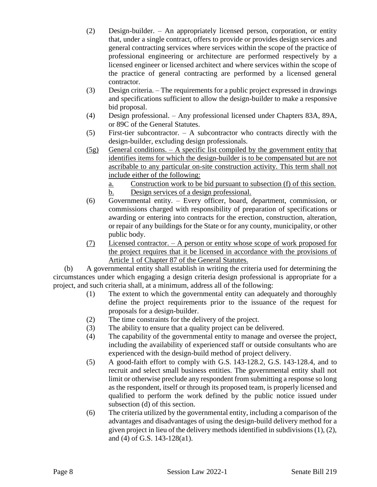- (2) Design-builder. An appropriately licensed person, corporation, or entity that, under a single contract, offers to provide or provides design services and general contracting services where services within the scope of the practice of professional engineering or architecture are performed respectively by a licensed engineer or licensed architect and where services within the scope of the practice of general contracting are performed by a licensed general contractor.
- (3) Design criteria. The requirements for a public project expressed in drawings and specifications sufficient to allow the design-builder to make a responsive bid proposal.
- (4) Design professional. Any professional licensed under Chapters 83A, 89A, or 89C of the General Statutes.
- (5) First-tier subcontractor. A subcontractor who contracts directly with the design-builder, excluding design professionals.
- $(5g)$  General conditions. A specific list compiled by the government entity that identifies items for which the design-builder is to be compensated but are not ascribable to any particular on-site construction activity. This term shall not include either of the following:
	- a. Construction work to be bid pursuant to subsection (f) of this section. b. Design services of a design professional.
- (6) Governmental entity. Every officer, board, department, commission, or commissions charged with responsibility of preparation of specifications or awarding or entering into contracts for the erection, construction, alteration, or repair of any buildings for the State or for any county, municipality, or other public body.
- (7) Licensed contractor. A person or entity whose scope of work proposed for the project requires that it be licensed in accordance with the provisions of Article 1 of Chapter 87 of the General Statutes.

(b) A governmental entity shall establish in writing the criteria used for determining the circumstances under which engaging a design criteria design professional is appropriate for a project, and such criteria shall, at a minimum, address all of the following:

- (1) The extent to which the governmental entity can adequately and thoroughly define the project requirements prior to the issuance of the request for proposals for a design-builder.
- (2) The time constraints for the delivery of the project.
- (3) The ability to ensure that a quality project can be delivered.
- (4) The capability of the governmental entity to manage and oversee the project, including the availability of experienced staff or outside consultants who are experienced with the design-build method of project delivery.
- (5) A good-faith effort to comply with G.S. 143-128.2, G.S. 143-128.4, and to recruit and select small business entities. The governmental entity shall not limit or otherwise preclude any respondent from submitting a response so long as the respondent, itself or through its proposed team, is properly licensed and qualified to perform the work defined by the public notice issued under subsection (d) of this section.
- (6) The criteria utilized by the governmental entity, including a comparison of the advantages and disadvantages of using the design-build delivery method for a given project in lieu of the delivery methods identified in subdivisions (1), (2), and (4) of G.S. 143-128(a1).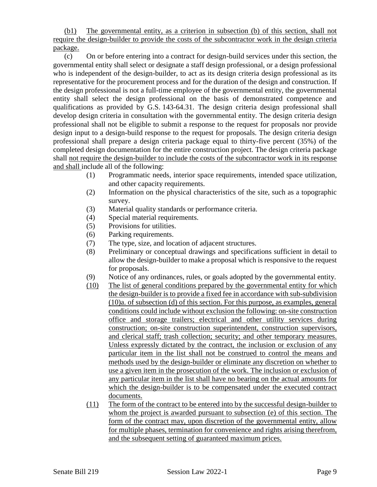(b1) The governmental entity, as a criterion in subsection (b) of this section, shall not require the design-builder to provide the costs of the subcontractor work in the design criteria package.

(c) On or before entering into a contract for design-build services under this section, the governmental entity shall select or designate a staff design professional, or a design professional who is independent of the design-builder, to act as its design criteria design professional as its representative for the procurement process and for the duration of the design and construction. If the design professional is not a full-time employee of the governmental entity, the governmental entity shall select the design professional on the basis of demonstrated competence and qualifications as provided by G.S. 143-64.31. The design criteria design professional shall develop design criteria in consultation with the governmental entity. The design criteria design professional shall not be eligible to submit a response to the request for proposals nor provide design input to a design-build response to the request for proposals. The design criteria design professional shall prepare a design criteria package equal to thirty-five percent (35%) of the completed design documentation for the entire construction project. The design criteria package shall not require the design-builder to include the costs of the subcontractor work in its response and shall include all of the following:

- (1) Programmatic needs, interior space requirements, intended space utilization, and other capacity requirements.
- (2) Information on the physical characteristics of the site, such as a topographic survey.
- (3) Material quality standards or performance criteria.
- (4) Special material requirements.
- (5) Provisions for utilities.
- (6) Parking requirements.
- (7) The type, size, and location of adjacent structures.
- (8) Preliminary or conceptual drawings and specifications sufficient in detail to allow the design-builder to make a proposal which is responsive to the request for proposals.
- (9) Notice of any ordinances, rules, or goals adopted by the governmental entity.
- (10) The list of general conditions prepared by the governmental entity for which the design-builder is to provide a fixed fee in accordance with sub-subdivision (10)a. of subsection (d) of this section. For this purpose, as examples, general conditions could include without exclusion the following: on-site construction office and storage trailers; electrical and other utility services during construction; on-site construction superintendent, construction supervisors, and clerical staff; trash collection; security; and other temporary measures. Unless expressly dictated by the contract, the inclusion or exclusion of any particular item in the list shall not be construed to control the means and methods used by the design-builder or eliminate any discretion on whether to use a given item in the prosecution of the work. The inclusion or exclusion of any particular item in the list shall have no bearing on the actual amounts for which the design-builder is to be compensated under the executed contract documents.
- (11) The form of the contract to be entered into by the successful design-builder to whom the project is awarded pursuant to subsection (e) of this section. The form of the contract may, upon discretion of the governmental entity, allow for multiple phases, termination for convenience and rights arising therefrom, and the subsequent setting of guaranteed maximum prices.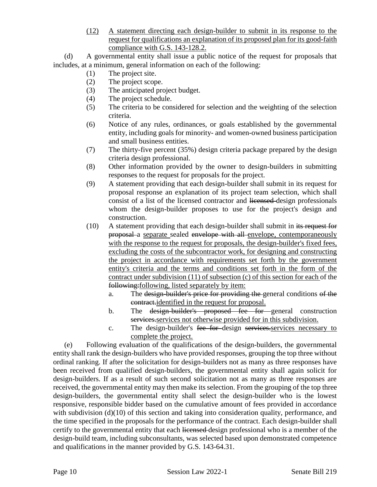(12) A statement directing each design-builder to submit in its response to the request for qualifications an explanation of its proposed plan for its good-faith compliance with G.S. 143-128.2.

(d) A governmental entity shall issue a public notice of the request for proposals that includes, at a minimum, general information on each of the following:

- (1) The project site.
- (2) The project scope.
- (3) The anticipated project budget.
- (4) The project schedule.
- (5) The criteria to be considered for selection and the weighting of the selection criteria.
- (6) Notice of any rules, ordinances, or goals established by the governmental entity, including goals for minority- and women-owned business participation and small business entities.
- (7) The thirty-five percent (35%) design criteria package prepared by the design criteria design professional.
- (8) Other information provided by the owner to design-builders in submitting responses to the request for proposals for the project.
- (9) A statement providing that each design-builder shall submit in its request for proposal response an explanation of its project team selection, which shall consist of a list of the licensed contractor and licensed design professionals whom the design-builder proposes to use for the project's design and construction.
- (10) A statement providing that each design-builder shall submit in its request for proposal a separate sealed envelope with all envelope, contemporaneously with the response to the request for proposals, the design-builder's fixed fees, excluding the costs of the subcontractor work, for designing and constructing the project in accordance with requirements set forth by the government entity's criteria and the terms and conditions set forth in the form of the contract under subdivision (11) of subsection (c) of this section for each of the following:following, listed separately by item:
	- a. The design-builder's price for providing the general conditions of the contract.identified in the request for proposal.
	- b. The <del>design-builder's proposed fee for general</del> construction services.services not otherwise provided for in this subdivision.
	- c. The design-builder's fee for design services.services necessary to complete the project.

(e) Following evaluation of the qualifications of the design-builders, the governmental entity shall rank the design-builders who have provided responses, grouping the top three without ordinal ranking. If after the solicitation for design-builders not as many as three responses have been received from qualified design-builders, the governmental entity shall again solicit for design-builders. If as a result of such second solicitation not as many as three responses are received, the governmental entity may then make its selection. From the grouping of the top three design-builders, the governmental entity shall select the design-builder who is the lowest responsive, responsible bidder based on the cumulative amount of fees provided in accordance with subdivision (d)(10) of this section and taking into consideration quality, performance, and the time specified in the proposals for the performance of the contract. Each design-builder shall certify to the governmental entity that each licensed design professional who is a member of the design-build team, including subconsultants, was selected based upon demonstrated competence and qualifications in the manner provided by G.S. 143-64.31.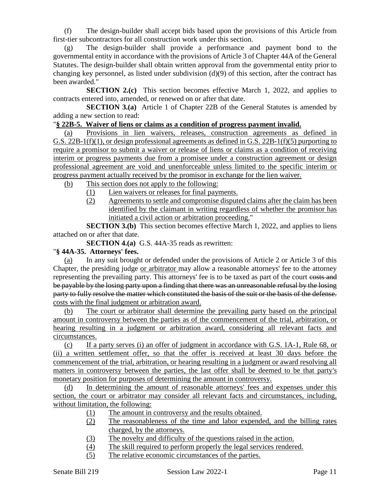(f) The design-builder shall accept bids based upon the provisions of this Article from first-tier subcontractors for all construction work under this section.

(g) The design-builder shall provide a performance and payment bond to the governmental entity in accordance with the provisions of Article 3 of Chapter 44A of the General Statutes. The design-builder shall obtain written approval from the governmental entity prior to changing key personnel, as listed under subdivision (d)(9) of this section, after the contract has been awarded."

**SECTION 2.(c)** This section becomes effective March 1, 2022, and applies to contracts entered into, amended, or renewed on or after that date.

**SECTION 3.(a)** Article 1 of Chapter 22B of the General Statutes is amended by adding a new section to read:

## "**§ 22B-5. Waiver of liens or claims as a condition of progress payment invalid.**

(a) Provisions in lien waivers, releases, construction agreements as defined in G.S. 22B-1(f)(1), or design professional agreements as defined in G.S. 22B-1(f)(5) purporting to require a promisor to submit a waiver or release of liens or claims as a condition of receiving interim or progress payments due from a promisee under a construction agreement or design professional agreement are void and unenforceable unless limited to the specific interim or progress payment actually received by the promisor in exchange for the lien waiver.

- (b) This section does not apply to the following:
	- (1) Lien waivers or releases for final payments.
		- (2) Agreements to settle and compromise disputed claims after the claim has been identified by the claimant in writing regardless of whether the promisor has initiated a civil action or arbitration proceeding."

**SECTION 3.(b)** This section becomes effective March 1, 2022, and applies to liens attached on or after that date.

**SECTION 4.(a)** G.S. 44A-35 reads as rewritten:

## "**§ 44A-35. Attorneys' fees.**

(a) In any suit brought or defended under the provisions of Article 2 or Article 3 of this Chapter, the presiding judge or arbitrator may allow a reasonable attorneys' fee to the attorney representing the prevailing party. This attorneys' fee is to be taxed as part of the court costs and be payable by the losing party upon a finding that there was an unreasonable refusal by the losing party to fully resolve the matter which constituted the basis of the suit or the basis of the defense. costs with the final judgment or arbitration award.

(b) The court or arbitrator shall determine the prevailing party based on the principal amount in controversy between the parties as of the commencement of the trial, arbitration, or hearing resulting in a judgment or arbitration award, considering all relevant facts and circumstances.

(c) If a party serves (i) an offer of judgment in accordance with G.S. 1A-1, Rule 68, or (ii) a written settlement offer, so that the offer is received at least 30 days before the commencement of the trial, arbitration, or hearing resulting in a judgment or award resolving all matters in controversy between the parties, the last offer shall be deemed to be that party's monetary position for purposes of determining the amount in controversy.

(d) In determining the amount of reasonable attorneys' fees and expenses under this section, the court or arbitrator may consider all relevant facts and circumstances, including, without limitation, the following:

- (1) The amount in controversy and the results obtained.
- (2) The reasonableness of the time and labor expended, and the billing rates charged, by the attorneys.
- (3) The novelty and difficulty of the questions raised in the action.
- (4) The skill required to perform properly the legal services rendered.
- (5) The relative economic circumstances of the parties.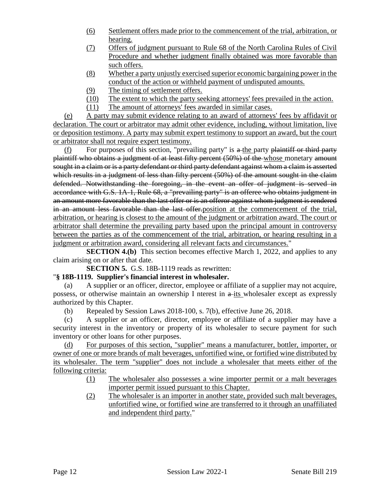- (6) Settlement offers made prior to the commencement of the trial, arbitration, or hearing.
- (7) Offers of judgment pursuant to Rule 68 of the North Carolina Rules of Civil Procedure and whether judgment finally obtained was more favorable than such offers.
- (8) Whether a party unjustly exercised superior economic bargaining power in the conduct of the action or withheld payment of undisputed amounts.
- (9) The timing of settlement offers.
- (10) The extent to which the party seeking attorneys' fees prevailed in the action.
- (11) The amount of attorneys' fees awarded in similar cases.

(e) A party may submit evidence relating to an award of attorneys' fees by affidavit or declaration. The court or arbitrator may admit other evidence, including, without limitation, live or deposition testimony. A party may submit expert testimony to support an award, but the court or arbitrator shall not require expert testimony.

 $(f)$  For purposes of this section, "prevailing party" is a the party plaintiff or third party plaintiff who obtains a judgment of at least fifty percent (50%) of the whose monetary amount sought in a claim or is a party defendant or third party defendant against whom a claim is asserted which results in a judgment of less than fifty percent (50%) of the amount sought in the claim defended. Notwithstanding the foregoing, in the event an offer of judgment is served in accordance with G.S. 1A-1, Rule 68, a "prevailing party" is an offeree who obtains judgment in an amount more favorable than the last offer or is an offeror against whom judgment is rendered in an amount less favorable than the last offer.position at the commencement of the trial, arbitration, or hearing is closest to the amount of the judgment or arbitration award. The court or arbitrator shall determine the prevailing party based upon the principal amount in controversy between the parties as of the commencement of the trial, arbitration, or hearing resulting in a judgment or arbitration award, considering all relevant facts and circumstances."

**SECTION 4.(b)** This section becomes effective March 1, 2022, and applies to any claim arising on or after that date.

**SECTION 5.** G.S. 18B-1119 reads as rewritten:

## "**§ 18B-1119. Supplier's financial interest in wholesaler.**

(a) A supplier or an officer, director, employee or affiliate of a supplier may not acquire, possess, or otherwise maintain an ownership I nterest in  $a$ -its wholesaler except as expressly authorized by this Chapter.

(b) Repealed by Session Laws 2018-100, s. 7(b), effective June 26, 2018.

(c) A supplier or an officer, director, employee or affiliate of a supplier may have a security interest in the inventory or property of its wholesaler to secure payment for such inventory or other loans for other purposes.

(d) For purposes of this section, "supplier" means a manufacturer, bottler, importer, or owner of one or more brands of malt beverages, unfortified wine, or fortified wine distributed by its wholesaler. The term "supplier" does not include a wholesaler that meets either of the following criteria:

- (1) The wholesaler also possesses a wine importer permit or a malt beverages importer permit issued pursuant to this Chapter.
- (2) The wholesaler is an importer in another state, provided such malt beverages, unfortified wine, or fortified wine are transferred to it through an unaffiliated and independent third party."